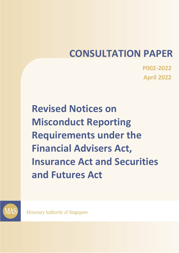# CONSULTATION PAPER

P002-2022 April 2022

Revised Notices on Misconduct Reporting Requirements under the Financial Advisers Act, Insurance Act and Securities and Futures Act



**Monetary Authority of Singapore**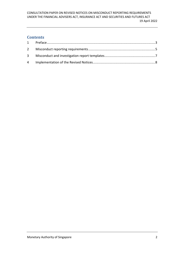# **Contents**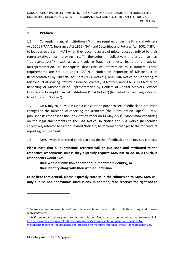## 1 Preface

1.1 Currently, financial institutions ("FIs") are required under the Financial Advisers Act 2001 ("FAA"), Insurance Act 1966 ("IA") and Securities and Futures Act 2001 ("SFA") to lodge a report with MAS when they become aware of misconduct committed by their representatives or broking staff (henceforth collectively referred to as "representatives" <sup>1</sup> ), such as acts involving fraud, dishonesty, inappropriate advice, misrepresentation, or inadequate disclosure of information to customers. These requirements are set out under FAA-N14 Notice on Reporting of Misconduct of Representatives by Financial Advisers ("FAA Notice"), MAS 504 Notice on Reporting of Misconduct of Broking Staff by Insurance Brokers ("IA Notice") and SFA 04-N11 Notice on Reporting of Misconduct of Representatives by Holders of Capital Markets Services Licence and Exempt Financial Institutions ("SFA Notice") (henceforth collectively referred to as "Current Notices").

1.2 On 6 July 2018, MAS issued a consultation paper to seek feedback on proposed changes to the misconduct reporting requirements (the "Consultation Paper"). MAS published its response to the Consultation Paper on 14 May 2021<sup>2</sup>. MAS is now consulting on the legal amendments to the FAA Notice, IA Notice and SFA Notice (henceforth collectively referred to as the "Revised Notices") to implement changes to the misconduct reporting requirements.

1.3 MAS invites interested parties to provide their feedback on the Revised Notices.

Please note that all submissions received will be published and attributed to the respective respondents unless they expressly request MAS not to do so. As such, if respondents would like:

- (i) their whole submission or part of it (but not their identity), or
- (ii) their identity along with their whole submission,

to be kept confidential, please expressly state so in the submission to MAS. MAS will only publish non-anonymous submissions. In addition, MAS reserves the right not to

<sup>&</sup>lt;sup>1</sup> References to "representatives" in this consultation paper refer to both existing and former representatives.

 $2$  MAS' proposals and response to the consultation feedback can be found at the following link: https://www.mas.gov.sg/publications/consultations/2018/consultation-paper-on-revisions-tomisconduct-reporting-requirements-and-proposals-to-mandate-reference-checks-for-representatives.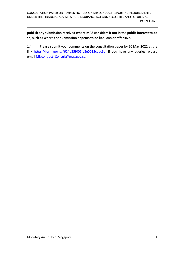publish any submission received where MAS considers it not in the public interest to do so, such as where the submission appears to be libellous or offensive.

1.4 Please submit your comments on the consultation paper by 20 May 2022 at the link https://form.gov.sg/624d359f05fc8e0015cbac6e. If you have any queries, please email Misconduct Consult@mas.gov.sg.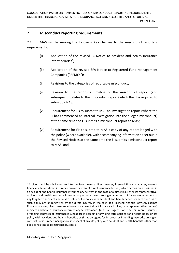#### 2 Misconduct reporting requirements

2.1 MAS will be making the following key changes to the misconduct reporting requirements:

- (i) Application of the revised IA Notice to accident and health insurance intermediaries<sup>3</sup>;
- (ii) Application of the revised SFA Notice to Registered Fund Management Companies ("RFMCs");
- (iii) Revisions to the categories of reportable misconduct;
- (iv) Revision to the reporting timeline of the misconduct report (and subsequent updates to the misconduct report) which the FI is required to submit to MAS;
- (v) Requirement for FIs to submit to MAS an investigation report (where the FI has commenced an internal investigation into the alleged misconduct) at the same time the FI submits a misconduct report to MAS;
- (vi) Requirement for FIs to submit to MAS a copy of any report lodged with the police (where available), with accompanying information as set out in the Revised Notices at the same time the FI submits a misconduct report to MAS; and

<sup>&</sup>lt;sup>3</sup> Accident and health insurance intermediary means a direct insurer, licensed financial adviser, exempt financial adviser, direct insurance broker or exempt direct insurance broker, which carries on a business in an accident and health insurance intermediary activity. In the case of a direct insurer or its representative, accident and health insurance intermediary activity means arranging contracts of insurance in respect of any long-term accident and health policy or life policy with accident and health benefits where the risks of such policy are underwritten by the direct insurer. In the case of a licensed financial adviser, exempt financial adviser, direct insurance broker or exempt direct insurance broker, or a representative thereof, accident and health insurance intermediary activity means (i) as an agent for one or more insurers, arranging contracts of insurance in Singapore in respect of any long-term accident and health policy or life policy with accident and health benefits; or (ii) as an agent for insureds or intending insureds, arranging contracts of insurance in Singapore in respect of any life policy with accident and health benefits, other than policies relating to reinsurance business.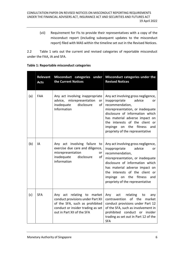(vii) Requirement for FIs to provide their representatives with a copy of the misconduct report (including subsequent updates to the misconduct report) filed with MAS within the timeline set out in the Revised Notices.

2.2 Table 1 sets out the current and revised categories of reportable misconduct under the FAA, IA and SFA.

|     | <b>Relevant</b><br><b>Acts</b> | Misconduct categories under<br>the Current Notices                                                                                                                   | Misconduct categories under the<br><b>Revised Notices</b>                                                                                                                                                                                                                                                       |
|-----|--------------------------------|----------------------------------------------------------------------------------------------------------------------------------------------------------------------|-----------------------------------------------------------------------------------------------------------------------------------------------------------------------------------------------------------------------------------------------------------------------------------------------------------------|
| (a) | <b>FAA</b>                     | Any act involving inappropriate<br>advice,<br>misrepresentation<br>or<br>disclosure<br>inadequate<br>of<br>Information                                               | Any act involving gross negligence,<br>inappropriate<br>advice<br>or<br>recommendation,<br>misrepresentation, or inadequate<br>disclosure of information which<br>has material adverse impact on<br>the interests of the client or<br>the<br>fitness<br>impinge<br>on<br>and<br>propriety of the representative |
| (b) | IA                             | Any act involving failure<br>to<br>exercise due care and diligence,<br>misrepresentation<br>or<br>inadequate<br>of<br>disclosure<br>information                      | Any act involving gross negligence,<br>inappropriate<br>advice<br>or<br>recommendation,<br>misrepresentation, or inadequate<br>disclosure of information which<br>has material adverse impact on<br>the interests of the client or<br>the<br>fitness<br>impinge<br>on<br>and<br>propriety of the representative |
| (c) | <b>SFA</b>                     | Any act relating to market<br>conduct provisions under Part XII<br>of the SFA, such as prohibited<br>conduct or insider trading as set<br>out in Part XII of the SFA | Any<br>act<br>relating<br>to<br>any<br>of the<br>contravention<br>market<br>conduct provisions under Part 12<br>of the SFA, such as involvement in<br>prohibited conduct or insider<br>trading as set out in Part 12 of the<br><b>SFA</b>                                                                       |

#### Table 1: Reportable misconduct categories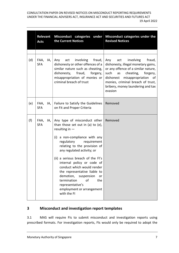CONSULTATION PAPER ON REVISED NOTICES ON MISCONDUCT REPORTING REQUIREMENTS UNDER THE FINANCIAL ADVISERS ACT, INSURANCE ACT AND SECURITIES AND FUTURES ACT 19 April 2022

|     | Relevant<br><b>Acts</b>     | the Current Notices                                                                                                                                                                                                                                                                                                                                                                                                                                                            | Misconduct categories under Misconduct categories under the<br><b>Revised Notices</b>                                                                                                                                                                                              |
|-----|-----------------------------|--------------------------------------------------------------------------------------------------------------------------------------------------------------------------------------------------------------------------------------------------------------------------------------------------------------------------------------------------------------------------------------------------------------------------------------------------------------------------------|------------------------------------------------------------------------------------------------------------------------------------------------------------------------------------------------------------------------------------------------------------------------------------|
|     |                             |                                                                                                                                                                                                                                                                                                                                                                                                                                                                                |                                                                                                                                                                                                                                                                                    |
| (d) | FAA,<br>IA,  <br><b>SFA</b> | involving<br>fraud,<br>Any<br>act<br>dishonesty or other offences of a<br>similar nature such as cheating,<br>dishonesty, fraud, forgery,<br>misappropriation of monies or<br>criminal breach of trust                                                                                                                                                                                                                                                                         | involving<br>Any<br>act<br>fraud,<br>dishonesty, illegal monetary gains,<br>or any offence of a similar nature,<br>such<br>cheating,<br>forgery,<br>as<br>dishonest<br>misappropriation<br>of<br>monies, criminal breach of trust,<br>bribery, money laundering and tax<br>evasion |
| (e) | FAA,<br> A, <br><b>SFA</b>  | Failure to Satisfy the Guidelines<br>on Fit and Proper Criteria                                                                                                                                                                                                                                                                                                                                                                                                                | Removed                                                                                                                                                                                                                                                                            |
| (f) | FAA,<br>IA,<br><b>SFA</b>   | Any type of misconduct other<br>than those set out in $(a)$ to $(e)$ ,<br>resulting in $-$<br>(i) a non-compliance with any<br>regulatory requirement<br>relating to the provision of<br>any regulated activity; or<br>(ii) a serious breach of the FI's<br>internal policy or code of<br>conduct which would render<br>the representative liable to<br>demotion, suspension<br>or<br>termination<br>of<br>the<br>representative's<br>employment or arrangement<br>with the FI | Removed                                                                                                                                                                                                                                                                            |

# 3 Misconduct and investigation report templates

3.1 MAS will require FIs to submit misconduct and investigation reports using prescribed formats. For investigation reports, FIs would only be required to adopt the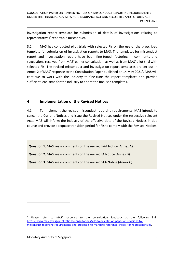investigation report template for submission of details of investigations relating to representatives' reportable misconduct.

3.2 MAS has conducted pilot trials with selected FIs on the use of the prescribed template for submission of investigation reports to MAS. The templates for misconduct report and investigation report have been fine-tuned, factoring in comments and suggestions received from MAS' earlier consultation, as well as from MAS' pilot trial with selected FIs. The revised misconduct and investigation report templates are set out in Annex 2 of MAS' response to the Consultation Paper published on 14 May 2021<sup>4</sup>. MAS will continue to work with the industry to fine-tune the report templates and provide sufficient lead-time for the industry to adopt the finalised templates.

### 4 Implementation of the Revised Notices

4.1 To implement the revised misconduct reporting requirements, MAS intends to cancel the Current Notices and issue the Revised Notices under the respective relevant Acts. MAS will inform the industry of the effective date of the Revised Notices in due course and provide adequate transition period for FIs to comply with the Revised Notices.

Question 1. MAS seeks comments on the revised FAA Notice (Annex A).

Question 2. MAS seeks comments on the revised IA Notice (Annex B).

Question 3. MAS seeks comments on the revised SFA Notice (Annex C).

<sup>&</sup>lt;sup>4</sup> Please refer to MAS' response to the consultation feedback at the following link: https://www.mas.gov.sg/publications/consultations/2018/consultation-paper-on-revisions-tomisconduct-reporting-requirements-and-proposals-to-mandate-reference-checks-for-representatives.